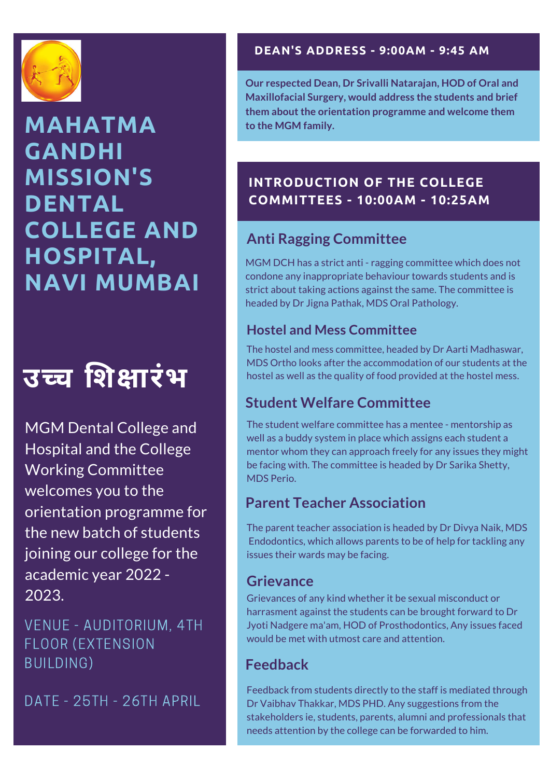

# **MAHATMA GANDHI MISSION'S DENTAL COLLEGE AND HOSPITAL, NAVI MUMBAI**

# **उच्च शि क्षा रंभ**

MGM Dental College and Hospital and the College Working Committee welcomes you to the orientation programme for the new batch of students joining our college for the academic year 2022 - 2023.

VENUE - AUDITORIUM, 4TH FLOOR (EXTENSION BUILDING)

DATE - 25TH - 26TH APRIL

#### **DEAN'S ADDRESS - 9:00AM - 9:45 AM**

**Our respected Dean, Dr Srivalli Natarajan, HOD of Oral and Maxillofacial Surgery, would address the students and brief them about the orientation programme and welcome them to the MGM family.**

## **INTRODUCTION OF THE COLLEGE COMMITTEES - 10:00AM - 10:25AM**

# **Anti Ragging Committee**

MGM DCH has a strict anti - ragging committee which does not condone any inappropriate behaviour towards students and is strict about taking actions against the same. The committee is headed by Dr Jigna Pathak, MDS Oral Pathology.

#### **Hostel and Mess Committee**

The hostel and mess committee, headed by Dr Aarti Madhaswar, MDS Ortho looks after the accommodation of our students at the hostel as well as the quality of food provided at the hostel mess.

# **Student Welfare Committee**

The student welfare committee has a mentee - mentorship as well as a buddy system in place which assigns each student a mentor whom they can approach freely for any issues they might be facing with. The committee is headed by Dr Sarika Shetty, MDS Perio.

# **Parent Teacher Association**

The parent teacher association is headed by Dr Divya Naik, MDS Endodontics, which allows parents to be of help for tackling any issues their wards may be facing.

## **Grievance**

Grievances of any kind whether it be sexual misconduct or harrasment against the students can be brought forward to Dr Jyoti Nadgere ma'am, HOD of Prosthodontics, Any issues faced would be met with utmost care and attention.

# **Feedback**

Feedback from students directly to the staff is mediated through Dr Vaibhav Thakkar, MDS PHD. Any suggestions from the stakeholders ie, students, parents, alumni and professionals that needs attention by the college can be forwarded to him.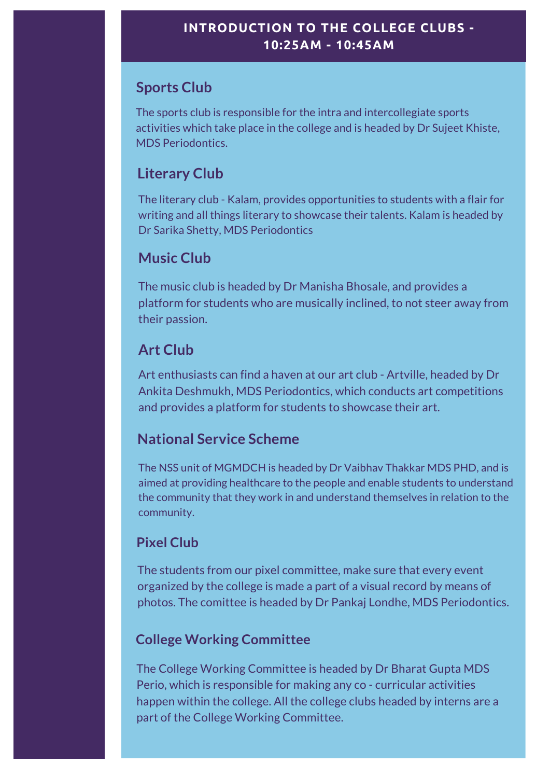# **Sports Club**

The sports club is responsible for the intra and intercollegiate sports activities which take place in the college and is headed by Dr Sujeet Khiste, MDS Periodontics.

# **Literary Club**

The literary club - Kalam, provides opportunities to students with a flair for writing and all things literary to showcase their talents. Kalam is headed by Dr Sarika Shetty, MDS Periodontics

# **Music Club**

The music club is headed by Dr Manisha Bhosale, and provides a platform for students who are musically inclined, to not steer away from their passion.

# **Art Club**

Art enthusiasts can find a haven at our art club - Artville, headed by Dr Ankita Deshmukh, MDS Periodontics, which conducts art competitions and provides a platform for students to showcase their art.

## **National Service Scheme**

The NSS unit of MGMDCH is headed by Dr Vaibhav Thakkar MDS PHD, and is aimed at providing healthcare to the people and enable students to understand the community that they work in and understand themselves in relation to the community.

#### **Pixel Club**

The students from our pixel committee, make sure that every event organized by the college is made a part of a visual record by means of photos. The comittee is headed by Dr Pankaj Londhe, MDS Periodontics.

#### **College Working Committee**

The College Working Committee is headed by Dr Bharat Gupta MDS Perio, which is responsible for making any co - curricular activities happen within the college. All the college clubs headed by interns are a part of the College Working Committee.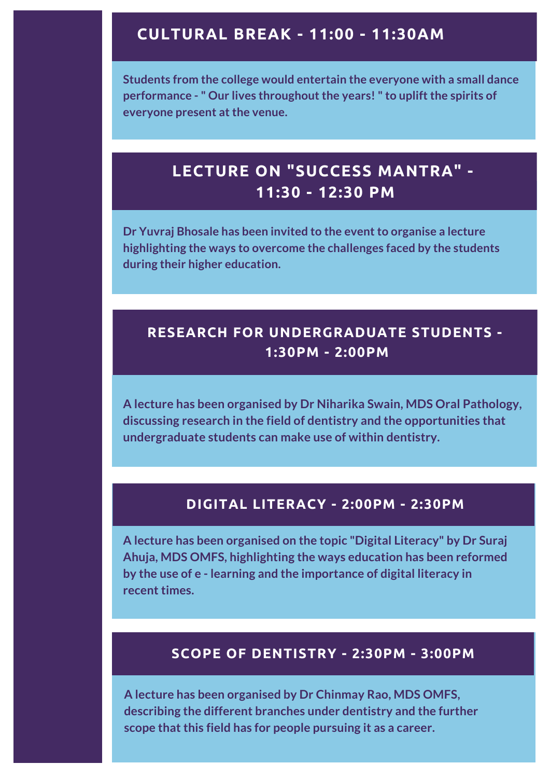#### **CULTURAL BREAK - 11:00 - 11:30AM**

**Students from the college would entertain the everyone with a small dance performance - " Our lives throughout the years! " to uplift the spirits of everyone present at the venue.**

# **LECTURE ON "SUCCESS MANTRA" - 11:30 - 12:30 PM**

**Dr Yuvraj Bhosale has been invited to the event to organise a lecture highlighting the ways to overcome the challenges faced by the students during their higher education.**

#### **RESEARCH FOR UNDERGRADUATE STUDENTS - 1:30PM - 2:00PM**

**A lecture has been organised by Dr Niharika Swain, MDS Oral Pathology, discussing research in the field of dentistry and the opportunities that undergraduate students can make use of within dentistry.**

#### **DIGITAL LITERACY - 2:00PM - 2:30PM**

**A lecture has been organised on the topic "Digital Literacy" by Dr Suraj Ahuja, MDS OMFS, highlighting the ways education has been reformed by the use of e - learning and the importance of digital literacy in recent times.**

#### **SCOPE OF DENTISTRY - 2:30PM - 3:00PM**

**A lecture has been organised by Dr Chinmay Rao, MDS OMFS, describing the different branches under dentistry and the further scope that this field has for people pursuing it as a career.**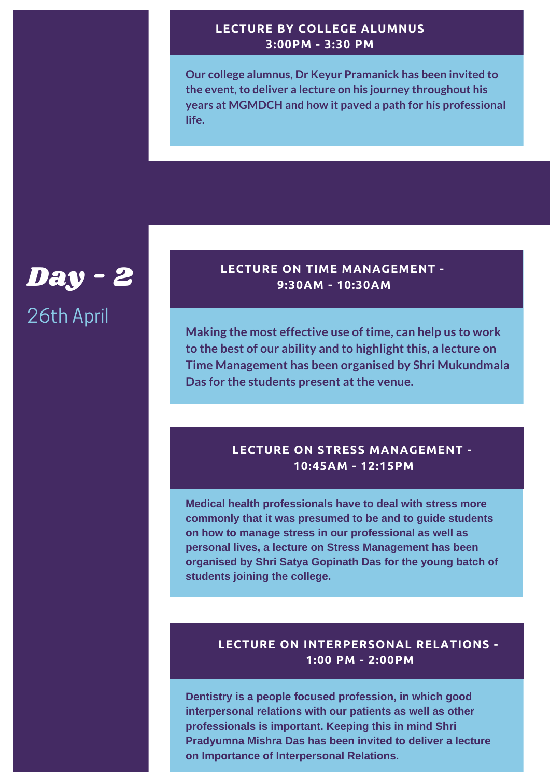#### **LECTURE BY COLLEGE ALUMNUS 3:00PM - 3:30 PM**

**Our college alumnus, Dr Keyur Pramanick has been invited to the event, to deliver a lecture on his journey throughout his years at MGMDCH and how it paved a path for his professional life.**

# Day - 2 26th April

#### **LECTURE ON TIME MANAGEMENT - 9:30AM - 10:30AM**

**Making the most effective use of time, can help us to work to the best of our ability and to highlight this, a lecture on Time Management has been organised by Shri Mukundmala Das for the students present at the venue.**

#### **LECTURE ON STRESS MANAGEMENT - 10:45AM - 12:15PM**

**Medical health professionals have to deal with stress more commonly that it was presumed to be and to guide students on how to manage stress in our professional as well as personal lives, a lecture on Stress Management has been organised by Shri Satya Gopinath Das for the young batch of students joining the college.**

#### **LECTURE ON INTERPERSONAL RELATIONS - 1:00 PM - 2:00PM**

**Dentistry is a people focused profession, in which good interpersonal relations with our patients as well as other professionals is important. Keeping this in mind Shri Pradyumna Mishra Das has been invited to deliver a lecture on Importance of Interpersonal Relations.**